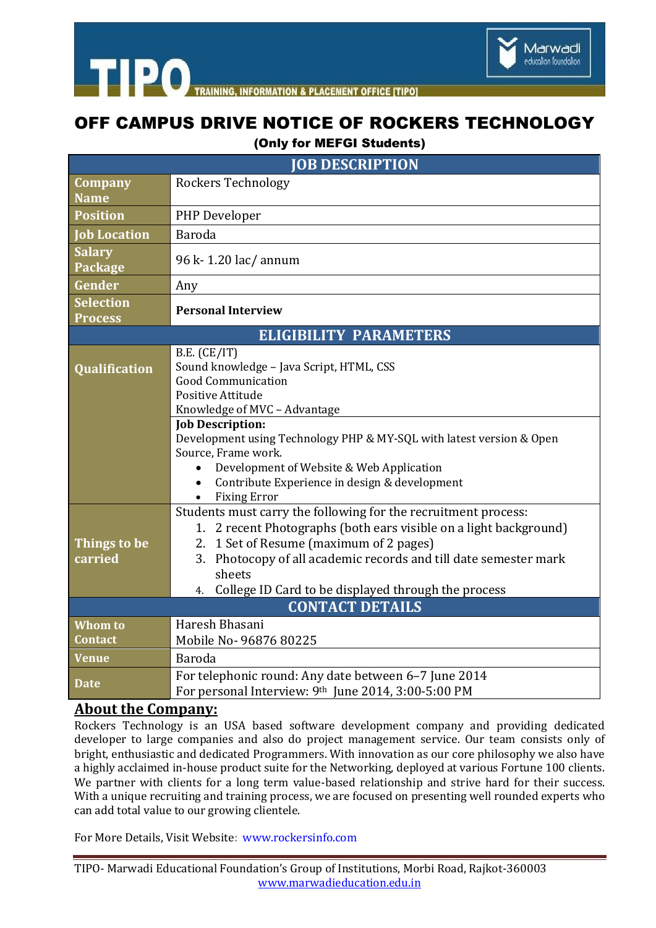

**TIPO INING INFORMATION & PLACEMENT OFFICE ITIPO1** 

## OFF CAMPUS DRIVE NOTICE OF ROCKERS TECHNOLOGY

## (Only for MEFGI Students)

| <b>IOB DESCRIPTION</b>             |                                                                                                             |
|------------------------------------|-------------------------------------------------------------------------------------------------------------|
| Company                            | <b>Rockers Technology</b>                                                                                   |
| <b>Name</b>                        |                                                                                                             |
| <b>Position</b>                    | PHP Developer                                                                                               |
| <b>Job Location</b>                | Baroda                                                                                                      |
| <b>Salary</b><br>Package           | 96 k - 1.20 lac/ annum                                                                                      |
| Gender                             | Any                                                                                                         |
| <b>Selection</b><br><b>Process</b> | <b>Personal Interview</b>                                                                                   |
| <b>ELIGIBILITY PARAMETERS</b>      |                                                                                                             |
| <b>Qualification</b>               | B.E. (CE/IT)<br>Sound knowledge - Java Script, HTML, CSS<br><b>Good Communication</b>                       |
|                                    | Positive Attitude                                                                                           |
|                                    | Knowledge of MVC - Advantage                                                                                |
|                                    | <b>Job Description:</b><br>Development using Technology PHP & MY-SQL with latest version & Open             |
|                                    | Source, Frame work.                                                                                         |
|                                    | Development of Website & Web Application                                                                    |
|                                    | Contribute Experience in design & development<br>$\bullet$                                                  |
|                                    | <b>Fixing Error</b><br>$\bullet$                                                                            |
|                                    | Students must carry the following for the recruitment process:                                              |
|                                    | 1. 2 recent Photographs (both ears visible on a light background)                                           |
| Things to be                       | 2. 1 Set of Resume (maximum of 2 pages)                                                                     |
| carried                            | 3. Photocopy of all academic records and till date semester mark                                            |
|                                    | sheets                                                                                                      |
|                                    | College ID Card to be displayed through the process<br>4.                                                   |
| <b>CONTACT DETAILS</b>             |                                                                                                             |
| <b>Whom to</b>                     | Haresh Bhasani                                                                                              |
| Contact                            | Mobile No- 96876 80225                                                                                      |
| Venue                              | Baroda                                                                                                      |
| Date                               | For telephonic round: Any date between 6-7 June 2014<br>For personal Interview: 9th June 2014, 3:00-5:00 PM |

## **About the Company:**

Rockers Technology is an USA based software development company and providing dedicated developer to large companies and also do project management service. Our team consists only of bright, enthusiastic and dedicated Programmers. With innovation as our core philosophy we also have a highly acclaimed in-house product suite for the Networking, deployed at various Fortune 100 clients. We partner with clients for a long term value-based relationship and strive hard for their success. With a unique recruiting and training process, we are focused on presenting well rounded experts who can add total value to our growing clientele.

For More Details, Visit Website: www.rockersinfo.com